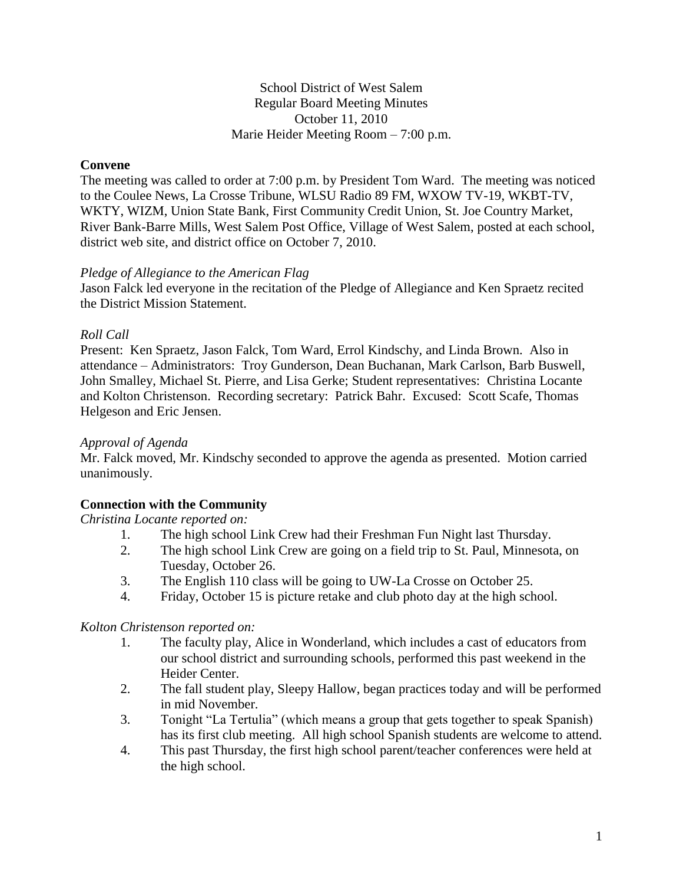## School District of West Salem Regular Board Meeting Minutes October 11, 2010 Marie Heider Meeting Room – 7:00 p.m.

# **Convene**

The meeting was called to order at 7:00 p.m. by President Tom Ward. The meeting was noticed to the Coulee News, La Crosse Tribune, WLSU Radio 89 FM, WXOW TV-19, WKBT-TV, WKTY, WIZM, Union State Bank, First Community Credit Union, St. Joe Country Market, River Bank-Barre Mills, West Salem Post Office, Village of West Salem, posted at each school, district web site, and district office on October 7, 2010.

#### *Pledge of Allegiance to the American Flag*

Jason Falck led everyone in the recitation of the Pledge of Allegiance and Ken Spraetz recited the District Mission Statement.

## *Roll Call*

Present: Ken Spraetz, Jason Falck, Tom Ward, Errol Kindschy, and Linda Brown. Also in attendance – Administrators: Troy Gunderson, Dean Buchanan, Mark Carlson, Barb Buswell, John Smalley, Michael St. Pierre, and Lisa Gerke; Student representatives: Christina Locante and Kolton Christenson. Recording secretary: Patrick Bahr. Excused: Scott Scafe, Thomas Helgeson and Eric Jensen.

### *Approval of Agenda*

Mr. Falck moved, Mr. Kindschy seconded to approve the agenda as presented. Motion carried unanimously.

# **Connection with the Community**

#### *Christina Locante reported on:*

- 1. The high school Link Crew had their Freshman Fun Night last Thursday.
- 2. The high school Link Crew are going on a field trip to St. Paul, Minnesota, on Tuesday, October 26.
- 3. The English 110 class will be going to UW-La Crosse on October 25.
- 4. Friday, October 15 is picture retake and club photo day at the high school.

#### *Kolton Christenson reported on:*

- 1. The faculty play, Alice in Wonderland, which includes a cast of educators from our school district and surrounding schools, performed this past weekend in the Heider Center.
- 2. The fall student play, Sleepy Hallow, began practices today and will be performed in mid November.
- 3. Tonight "La Tertulia" (which means a group that gets together to speak Spanish) has its first club meeting. All high school Spanish students are welcome to attend.
- 4. This past Thursday, the first high school parent/teacher conferences were held at the high school.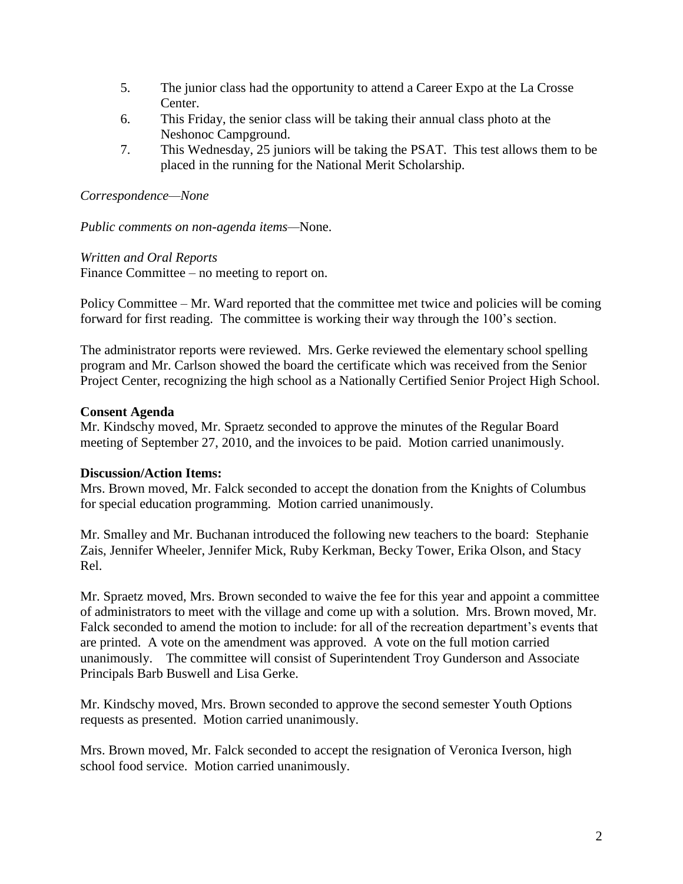- 5. The junior class had the opportunity to attend a Career Expo at the La Crosse Center.
- 6. This Friday, the senior class will be taking their annual class photo at the Neshonoc Campground.
- 7. This Wednesday, 25 juniors will be taking the PSAT. This test allows them to be placed in the running for the National Merit Scholarship.

## *Correspondence—None*

*Public comments on non-agenda items—*None.

*Written and Oral Reports* Finance Committee – no meeting to report on.

Policy Committee – Mr. Ward reported that the committee met twice and policies will be coming forward for first reading. The committee is working their way through the 100's section.

The administrator reports were reviewed. Mrs. Gerke reviewed the elementary school spelling program and Mr. Carlson showed the board the certificate which was received from the Senior Project Center, recognizing the high school as a Nationally Certified Senior Project High School.

## **Consent Agenda**

Mr. Kindschy moved, Mr. Spraetz seconded to approve the minutes of the Regular Board meeting of September 27, 2010, and the invoices to be paid. Motion carried unanimously.

# **Discussion/Action Items:**

Mrs. Brown moved, Mr. Falck seconded to accept the donation from the Knights of Columbus for special education programming. Motion carried unanimously.

Mr. Smalley and Mr. Buchanan introduced the following new teachers to the board: Stephanie Zais, Jennifer Wheeler, Jennifer Mick, Ruby Kerkman, Becky Tower, Erika Olson, and Stacy Rel.

Mr. Spraetz moved, Mrs. Brown seconded to waive the fee for this year and appoint a committee of administrators to meet with the village and come up with a solution. Mrs. Brown moved, Mr. Falck seconded to amend the motion to include: for all of the recreation department's events that are printed. A vote on the amendment was approved. A vote on the full motion carried unanimously. The committee will consist of Superintendent Troy Gunderson and Associate Principals Barb Buswell and Lisa Gerke.

Mr. Kindschy moved, Mrs. Brown seconded to approve the second semester Youth Options requests as presented. Motion carried unanimously.

Mrs. Brown moved, Mr. Falck seconded to accept the resignation of Veronica Iverson, high school food service. Motion carried unanimously.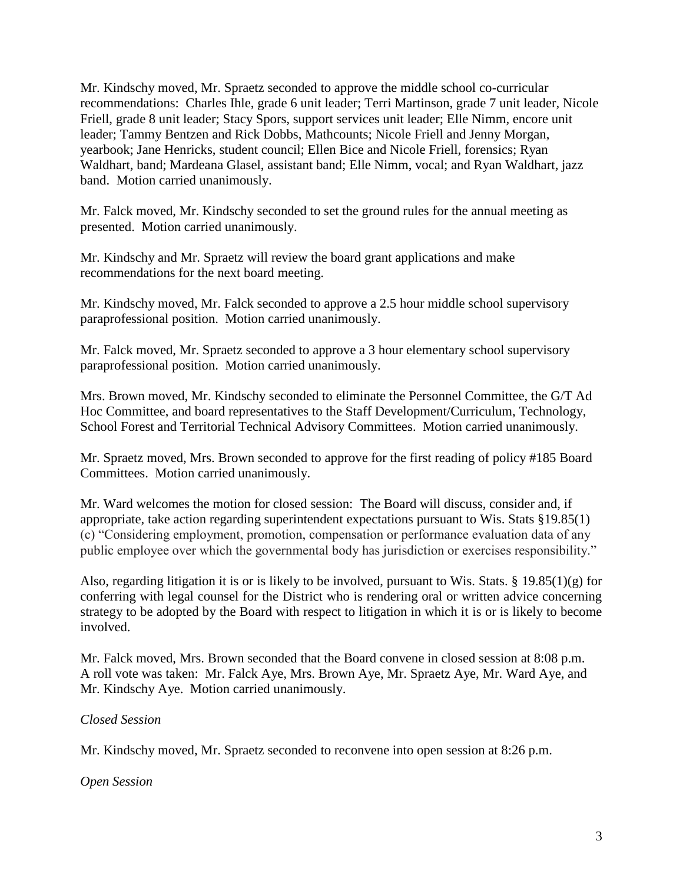Mr. Kindschy moved, Mr. Spraetz seconded to approve the middle school co-curricular recommendations: Charles Ihle, grade 6 unit leader; Terri Martinson, grade 7 unit leader, Nicole Friell, grade 8 unit leader; Stacy Spors, support services unit leader; Elle Nimm, encore unit leader; Tammy Bentzen and Rick Dobbs, Mathcounts; Nicole Friell and Jenny Morgan, yearbook; Jane Henricks, student council; Ellen Bice and Nicole Friell, forensics; Ryan Waldhart, band; Mardeana Glasel, assistant band; Elle Nimm, vocal; and Ryan Waldhart, jazz band. Motion carried unanimously.

Mr. Falck moved, Mr. Kindschy seconded to set the ground rules for the annual meeting as presented. Motion carried unanimously.

Mr. Kindschy and Mr. Spraetz will review the board grant applications and make recommendations for the next board meeting.

Mr. Kindschy moved, Mr. Falck seconded to approve a 2.5 hour middle school supervisory paraprofessional position. Motion carried unanimously.

Mr. Falck moved, Mr. Spraetz seconded to approve a 3 hour elementary school supervisory paraprofessional position. Motion carried unanimously.

Mrs. Brown moved, Mr. Kindschy seconded to eliminate the Personnel Committee, the G/T Ad Hoc Committee, and board representatives to the Staff Development/Curriculum, Technology, School Forest and Territorial Technical Advisory Committees. Motion carried unanimously.

Mr. Spraetz moved, Mrs. Brown seconded to approve for the first reading of policy #185 Board Committees. Motion carried unanimously.

Mr. Ward welcomes the motion for closed session: The Board will discuss, consider and, if appropriate, take action regarding superintendent expectations pursuant to Wis. Stats §19.85(1) (c) "Considering employment, promotion, compensation or performance evaluation data of any public employee over which the governmental body has jurisdiction or exercises responsibility."

Also, regarding litigation it is or is likely to be involved, pursuant to Wis. Stats. § 19.85(1)(g) for conferring with legal counsel for the District who is rendering oral or written advice concerning strategy to be adopted by the Board with respect to litigation in which it is or is likely to become involved.

Mr. Falck moved, Mrs. Brown seconded that the Board convene in closed session at 8:08 p.m. A roll vote was taken: Mr. Falck Aye, Mrs. Brown Aye, Mr. Spraetz Aye, Mr. Ward Aye, and Mr. Kindschy Aye. Motion carried unanimously.

# *Closed Session*

Mr. Kindschy moved, Mr. Spraetz seconded to reconvene into open session at 8:26 p.m.

*Open Session*